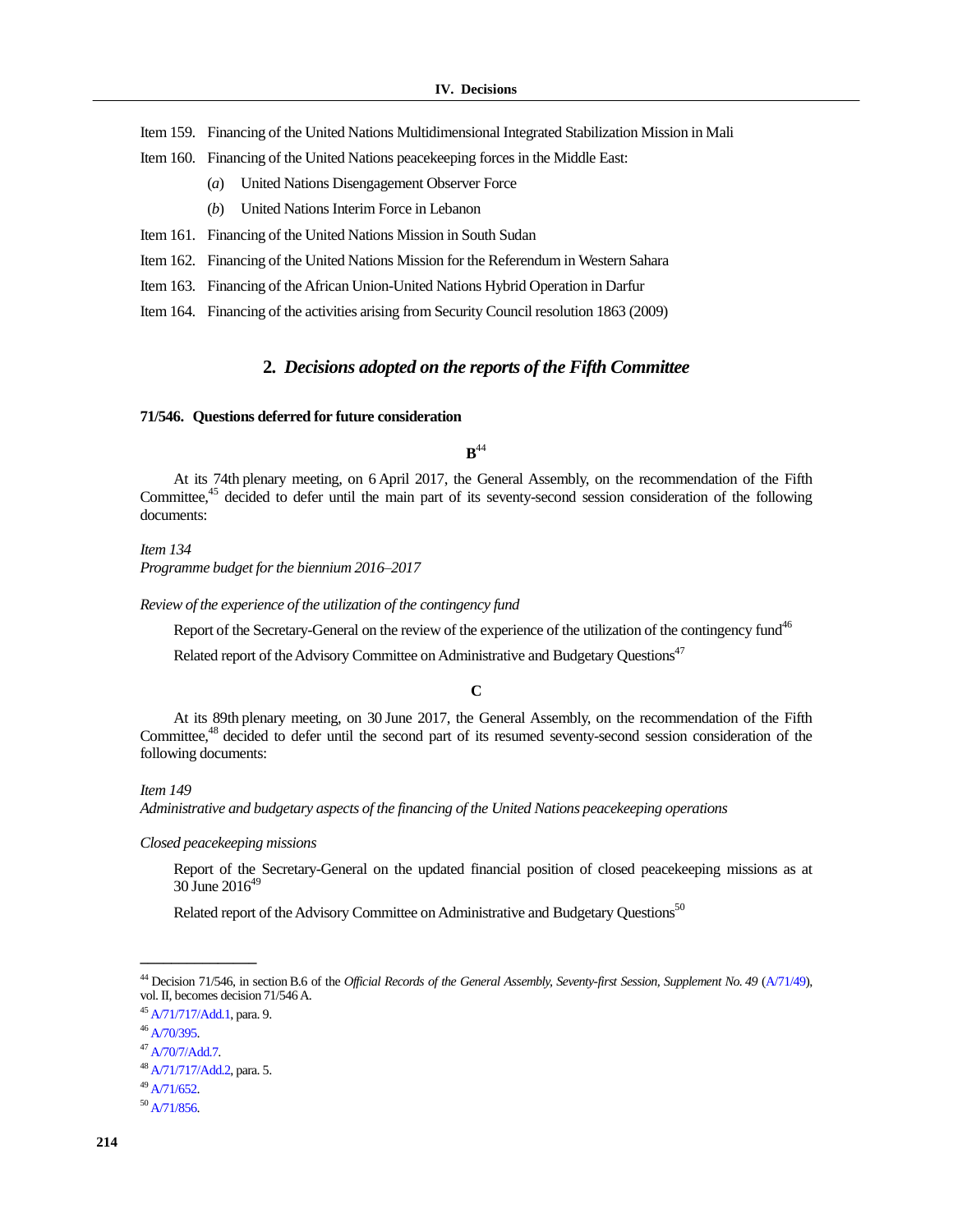Item 159. Financing of the United Nations Multidimensional Integrated Stabilization Mission in Mali

- Item 160. Financing of the United Nations peacekeeping forces in the Middle East:
	- (*a*) United Nations Disengagement Observer Force
	- (*b*) United Nations Interim Force in Lebanon
- Item 161. Financing of the United Nations Mission in South Sudan
- Item 162. Financing of the United Nations Mission for the Referendum in Western Sahara
- Item 163. Financing of the African Union-United Nations Hybrid Operation in Darfur
- Item 164. Financing of the activities arising from Security Council resolution 1863 (2009)

## **2.** *Decisions adopted on the reports of the Fifth Committee*

## **71/546. Questions deferred for future consideration**

 $\mathbf{B}^{44}$ 

At its 74th plenary meeting, on 6 April 2017, the General Assembly, on the recommendation of the Fifth Committee,<sup>45</sup> decided to defer until the main part of its seventy-second session consideration of the following documents:

*Item 134 Programme budget for the biennium 2016–2017*

*Review of the experience of the utilization of the contingency fund*

Report of the Secretary-General on the review of the experience of the utilization of the contingency fund<sup>46</sup>

Related report of the Advisory Committee on Administrative and Budgetary Questions<sup>47</sup>

**C**

At its 89th plenary meeting, on 30 June 2017, the General Assembly, on the recommendation of the Fifth Committee,<sup>48</sup> decided to defer until the second part of its resumed seventy-second session consideration of the following documents:

## *Item 149*

*Administrative and budgetary aspects of the financing of the United Nations peacekeeping operations*

*Closed peacekeeping missions*

Report of the Secretary-General on the updated financial position of closed peacekeeping missions as at  $30$  June  $2016^{49}$ 

Related report of the Advisory Committee on Administrative and Budgetary Questions<sup>50</sup>

**\_\_\_\_\_\_\_\_\_\_\_\_\_\_\_**

<sup>49</sup> [A/71/652.](https://undocs.org/A/71/652)

 $50$  [A/71/856.](https://undocs.org/A/71/856)

<sup>&</sup>lt;sup>44</sup> Decision 71/546, in section B.6 of the *Official Records of the General Assembly, Seventy-first Session, Supplement No. 49 [\(A/71/49\)](https://undocs.org/A/71/49)*, vol. II, becomes decision 71/546A.

<sup>45</sup> [A/71/717/Add.1,](https://undocs.org/A/71/717/Add.1) para. 9.

 $46$  [A/70/395.](http://undocs.org/A/70/395)

<sup>47</sup> [A/70/7/Add.7.](http://undocs.org/A/70/7/Add.7)

<sup>48</sup> [A/71/717/Add.2,](https://undocs.org/A/71/717/Add.2) para. 5.